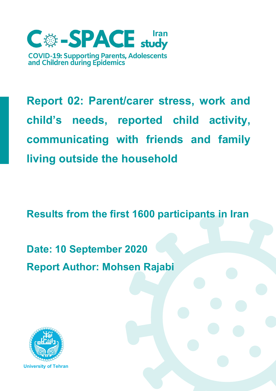

**Report 02: Parent/carer stress, work and child's needs, reported child activity, communicating with friends and family living outside the household**

**Results from the first 1600 participants in Iran**

**Date: 10 September 2020 Report Author: Mohsen Rajabi**

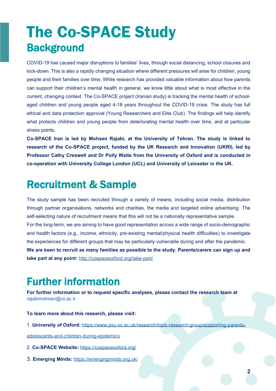# The Co-SPACE Study **Background**

COVID-19 has caused major disruptions to families' lives, through social distancing, school closures and lock-down. This is also a rapidly changing situation where different pressures will arise for children, young people and their families over time. While research has provided valuable information about how parents can support their children's mental health in general, we know little about what is most effective in the current, changing context. The Co-SPACE project (Iranian study) is tracking the mental health of schoolaged children and young people aged 4-18 years throughout the COVID-19 crisis. The study has full ethical and data protection approval (Young Researchers and Elite Club). The findings will help identify what protects children and young people from deteriorating mental health over time, and at particular stress points.

**Co-SPACE Iran is led by Mohsen Rajabi, at the University of Tehran. The study is linked to research of the Co-SPACE project, funded by the UK Research and Innovation (UKRI), led by Professor Cathy Creswell and Dr Polly Waite from the University of Oxford and is conducted in co-operation with University College London (UCL) and University of Leicester in the UK.**

## Recruitment & Sample

The study sample has been recruited through a variety of means, including social media, distribution through partner organisations, networks and charities, the media and targeted online advertising. The self-selecting nature of recruitment means that this will not be a nationally representative sample. For the long-term, we are aiming to have good representation across a wide range of socio-demographic and health factors (e.g., income, ethnicity, pre-existing mental/physical health difficulties) to investigate the experiences for different groups that may be particularly vulnerable during and after the pandemic. **We are keen to recruit as many families as possible to the study. Parents/carers can sign up and take part at any point:** <http://cospaceoxford.org/take-part/>

# Further information

**For further information or to request specific analyses, please contact the research team at** [rajabimohsen@ut.ac.ir](mailto:rajabimohsen@ut.ac.ir)

#### **To learn more about this research, please visit:**

1. **University of Oxford:** [https://www.psy.ox.ac.uk/research/topic-research-group/supporting-parents-](https://www.psy.ox.ac.uk/research/topic-research-group/supporting-parents-adolescents-and-children-during-epidemics)

[adolescents-and-children-during-epidemics](https://www.psy.ox.ac.uk/research/topic-research-group/supporting-parents-adolescents-and-children-during-epidemics)

- 2. **Co-SPACE Website:** <https://cospaceoxford.org/>
- 3. **Emerging Minds:** <https://emergingminds.org.uk/>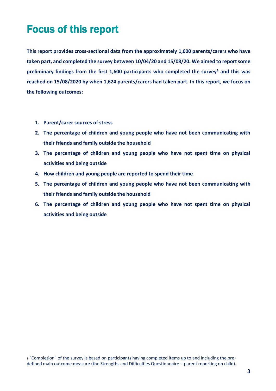# Focus of this report

**This report provides cross-sectional data from the approximately 1,600 parents/carers who have taken part, and completed the survey between 10/04/20 and 15/08/20. We aimed to report some preliminary findings from the first 1,600 participants who completed the survey<sup>1</sup> and this was reached on 15/08/2020 by when 1,624 parents/carers had taken part. In this report, we focus on the following outcomes:**

- **1. Parent/carer sources of stress**
- **2. The percentage of children and young people who have not been communicating with their friends and family outside the household**
- **3. The percentage of children and young people who have not spent time on physical activities and being outside**
- **4. How children and young people are reported to spend their time**
- **5. The percentage of children and young people who have not been communicating with their friends and family outside the household**
- **6. The percentage of children and young people who have not spent time on physical activities and being outside**

<sup>1</sup> "Completion" of the survey is based on participants having completed items up to and including the predefined main outcome measure (the Strengths and Difficulties Questionnaire – parent reporting on child).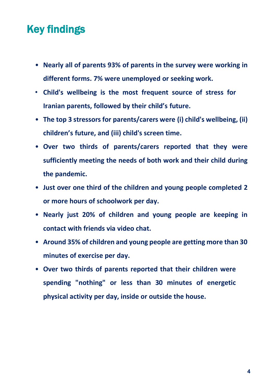# Key findings

- **Nearly all of parents 93% of parents in the survey were working in different forms. 7% were unemployed or seeking work.**
- **Child's wellbeing is the most frequent source of stress for Iranian parents, followed by their child's future.**
- **The top 3 stressors for parents/carers were (i) child's wellbeing, (ii) children's future, and (iii) child's screen time.**
- **Over two thirds of parents/carers reported that they were sufficiently meeting the needs of both work and their child during the pandemic.**
- **Just over one third of the children and young people completed 2 or more hours of schoolwork per day.**
- **Nearly just 20% of children and young people are keeping in contact with friends via video chat.**
- **Around 35% of children and young people are getting more than 30 minutes of exercise per day.**
- **Over two thirds of parents reported that their children were spending "nothing" or less than 30 minutes of energetic physical activity per day, inside or outside the house.**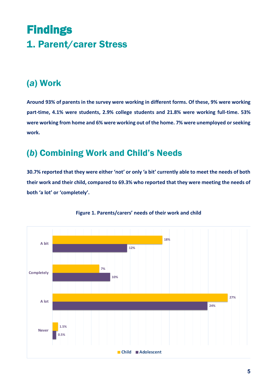# **Findings** 1. Parent/carer Stress

### (*a*) Work

**Around 93% of parents in the survey were working in different forms. Of these, 9% were working part-time, 4.1% were students, 2.9% college students and 21.8% were working full-time. 53%** were working from home and 6% were working out of the home. 7% were unemployed or seeking **work.**

### (*b*) Combining Work and Child's Needs

**30.7% reported that they were either 'not' or only 'a bit' currently able to meet the needs of both their work and their child, compared to 69.3% who reported that they were meeting the needs of both 'a lot' or 'completely'.**



#### **Figure 1. Parents/carers' needs of their work and child**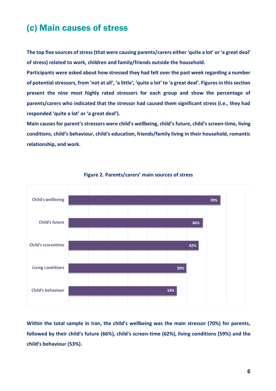### (*c*) Main causes of stress

**The top five sources of stress (that were causing parents/carers either 'quite a lot' or 'a great deal' of stress) related to work, children and family/friends outside the household.** 

**Participants were asked about how stressed they had felt over the past week regarding a number of potential stressors, from 'not at all', 'a little', 'quite a lot' to 'a great deal'. Figures in this section present the nine most highly rated stressors for each group and show the percentage of parents/carers who indicated that the stressor had caused them significant stress (i.e., they had responded 'quite a lot' or 'a great deal').**

**Main causes for parent's stressors were child's wellbeing, child's future, child's screen-time, living conditions, child's behaviour, child's education, friends/family living in their household, romantic relationship, and work.**



#### **Figure 2. Parents/carers' main sources of stress**

**Within the total sample in Iran, the child's wellbeing was the main stressor (70%) for parents, followed by their child's future (66%), child's screen-time (62%), living conditions (59%) and the child's behaviour (53%).**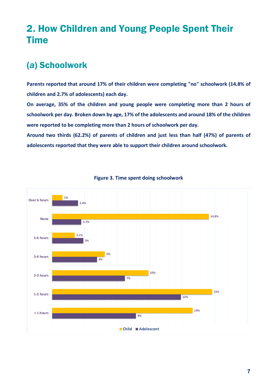### 2. How Children and Young People Spent Their Time

### (*a*) Schoolwork

**Parents reported that around 17% of their children were completing "no" schoolwork (14.8% of children and 2.7% of adolescents) each day.**

**On average, 35% of the children and young people were completing more than 2 hours of schoolwork per day. Broken down by age, 17% of the adolescents and around 18% of the children were reported to be completing more than 2 hours of schoolwork per day.**

**Around two thirds (62.2%) of parents of children and just less than half (47%) of parents of adolescents reported that they were able to support their children around schoolwork.**



#### **Figure 3. Time spent doing schoolwork**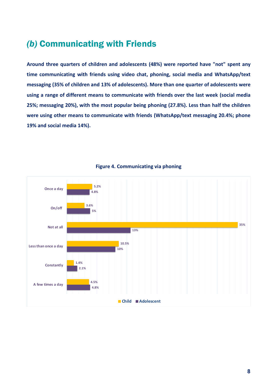### *)b)* Communicating with Friends

**Around three quarters of children and adolescents (48%) were reported have "not" spent any time communicating with friends using video chat, phoning, social media and WhatsApp/text messaging (35% of children and 13% of adolescents). More than one quarter of adolescents were using a range of different means to communicate with friends over the last week (social media 25%; messaging 20%), with the most popular being phoning (27.8%). Less than half the children were using other means to communicate with friends (WhatsApp/text messaging 20.4%; phone 19% and social media 14%).**



**Figure 4. Communicating via phoning**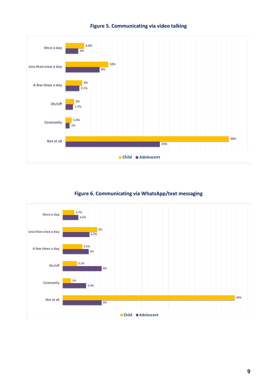

#### **Figure 5. Communicating via video talking**

#### **Figure 6. Communicating via WhatsApp/text messaging**

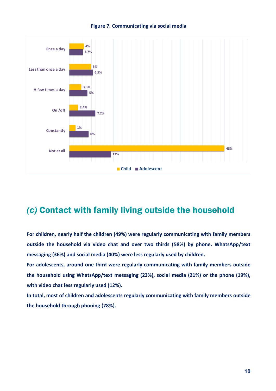



### *(c)* Contact with family living outside the household

**For children, nearly half the children (49%) were regularly communicating with family members outside the household via video chat and over two thirds (58%) by phone. WhatsApp/text messaging (36%) and social media (40%) were less regularly used by children.**

**For adolescents, around one third were regularly communicating with family members outside the household using WhatsApp/text messaging (23%), social media (21%) or the phone (19%), with video chat less regularly used (12%).**

**In total, most of children and adolescents regularly communicating with family members outside the household through phoning (78%).**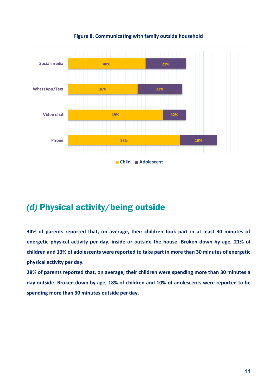

**Figure 8. Communicating with family outside household**

### *(d)* Physical activity/being outside

**34% of parents reported that, on average, their children took part in at least 30 minutes of energetic physical activity per day, inside or outside the house. Broken down by age, 21% of children and 13% of adolescents were reported to take part in more than 30 minutes of energetic physical activity per day.**

**28% of parents reported that, on average, their children were spending more than 30 minutes a day outside. Broken down by age, 18% of children and 10% of adolescents were reported to be spending more than 30 minutes outside per day.**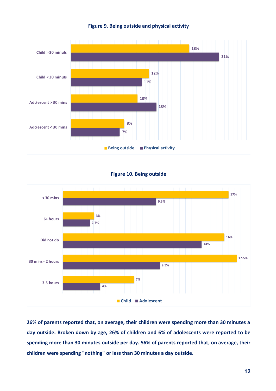

#### **Figure 9. Being outside and physical activity**





**26% of parents reported that, on average, their children were spending more than 30 minutes a day outside. Broken down by age, 26% of children and 6% of adolescents were reported to be spending more than 30 minutes outside per day. 56% of parents reported that, on average, their children were spending "nothing" or less than 30 minutes a day outside.**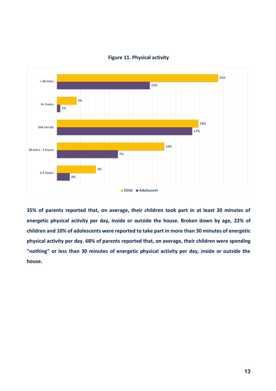

#### **Figure 11. Physical activity**

**35% of parents reported that, on average, their children took part in at least 30 minutes of energetic physical activity per day, inside or outside the house. Broken down by age, 22% of children and 10% of adolescents were reported to take part in more than 30 minutes of energetic physical activity per day. 68% of parents reported that, on average, their children were spending "nothing" or less than 30 minutes of energetic physical activity per day, inside or outside the house.**